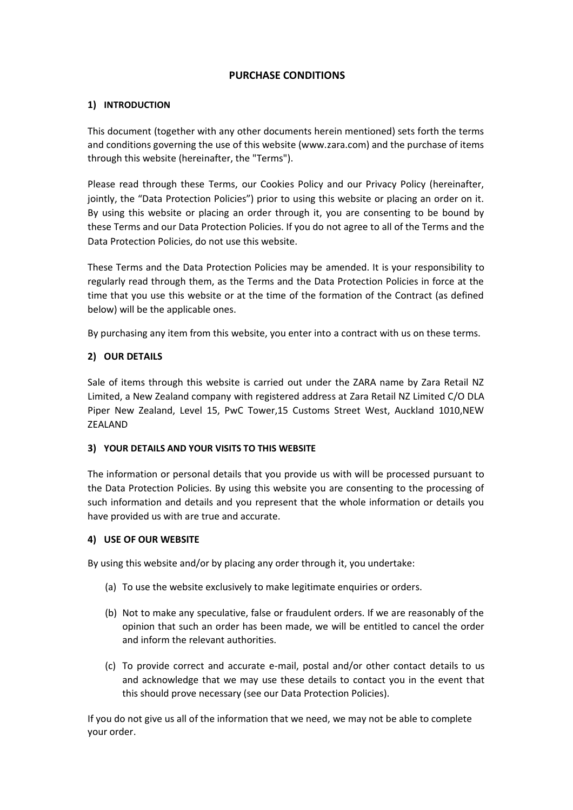# **PURCHASE CONDITIONS**

# **1) INTRODUCTION**

This document (together with any other documents herein mentioned) sets forth the terms and conditions governing the use of this website (www.zara.com) and the purchase of items through this website (hereinafter, the "Terms").

Please read through these Terms, our Cookies Policy and our Privacy Policy (hereinafter, jointly, the "Data Protection Policies") prior to using this website or placing an order on it. By using this website or placing an order through it, you are consenting to be bound by these Terms and our Data Protection Policies. If you do not agree to all of the Terms and the Data Protection Policies, do not use this website.

These Terms and the Data Protection Policies may be amended. It is your responsibility to regularly read through them, as the Terms and the Data Protection Policies in force at the time that you use this website or at the time of the formation of the Contract (as defined below) will be the applicable ones.

By purchasing any item from this website, you enter into a contract with us on these terms.

# **2) OUR DETAILS**

Sale of items through this website is carried out under the ZARA name by Zara Retail NZ Limited, a New Zealand company with registered address at Zara Retail NZ Limited C/O DLA Piper New Zealand, Level 15, PwC Tower,15 Customs Street West, Auckland 1010,NEW ZEALAND

# **3) YOUR DETAILS AND YOUR VISITS TO THIS WEBSITE**

The information or personal details that you provide us with will be processed pursuant to the Data Protection Policies. By using this website you are consenting to the processing of such information and details and you represent that the whole information or details you have provided us with are true and accurate.

# **4) USE OF OUR WEBSITE**

By using this website and/or by placing any order through it, you undertake:

- (a) To use the website exclusively to make legitimate enquiries or orders.
- (b) Not to make any speculative, false or fraudulent orders. If we are reasonably of the opinion that such an order has been made, we will be entitled to cancel the order and inform the relevant authorities.
- (c) To provide correct and accurate e-mail, postal and/or other contact details to us and acknowledge that we may use these details to contact you in the event that this should prove necessary (see our Data Protection Policies).

If you do not give us all of the information that we need, we may not be able to complete your order.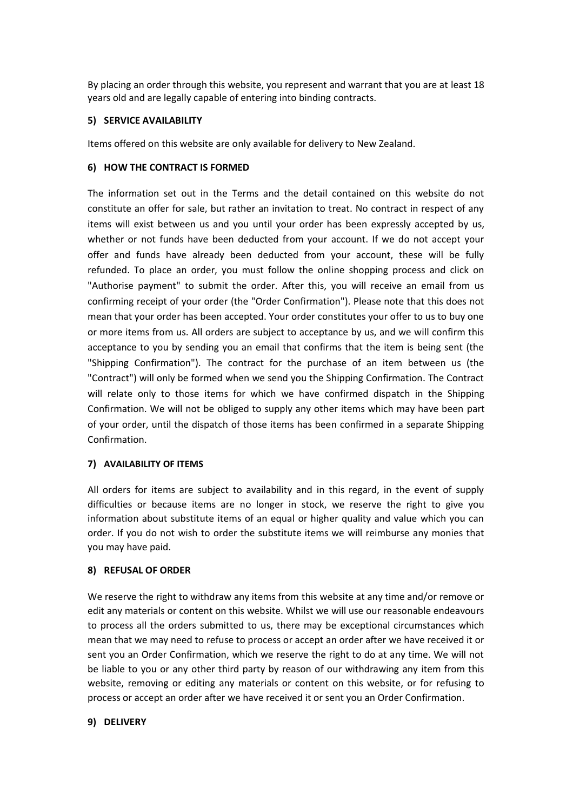By placing an order through this website, you represent and warrant that you are at least 18 years old and are legally capable of entering into binding contracts.

# **5) SERVICE AVAILABILITY**

Items offered on this website are only available for delivery to New Zealand.

### **6) HOW THE CONTRACT IS FORMED**

The information set out in the Terms and the detail contained on this website do not constitute an offer for sale, but rather an invitation to treat. No contract in respect of any items will exist between us and you until your order has been expressly accepted by us, whether or not funds have been deducted from your account. If we do not accept your offer and funds have already been deducted from your account, these will be fully refunded. To place an order, you must follow the online shopping process and click on "Authorise payment" to submit the order. After this, you will receive an email from us confirming receipt of your order (the "Order Confirmation"). Please note that this does not mean that your order has been accepted. Your order constitutes your offer to us to buy one or more items from us. All orders are subject to acceptance by us, and we will confirm this acceptance to you by sending you an email that confirms that the item is being sent (the "Shipping Confirmation"). The contract for the purchase of an item between us (the "Contract") will only be formed when we send you the Shipping Confirmation. The Contract will relate only to those items for which we have confirmed dispatch in the Shipping Confirmation. We will not be obliged to supply any other items which may have been part of your order, until the dispatch of those items has been confirmed in a separate Shipping Confirmation.

# **7) AVAILABILITY OF ITEMS**

All orders for items are subject to availability and in this regard, in the event of supply difficulties or because items are no longer in stock, we reserve the right to give you information about substitute items of an equal or higher quality and value which you can order. If you do not wish to order the substitute items we will reimburse any monies that you may have paid.

# **8) REFUSAL OF ORDER**

We reserve the right to withdraw any items from this website at any time and/or remove or edit any materials or content on this website. Whilst we will use our reasonable endeavours to process all the orders submitted to us, there may be exceptional circumstances which mean that we may need to refuse to process or accept an order after we have received it or sent you an Order Confirmation, which we reserve the right to do at any time. We will not be liable to you or any other third party by reason of our withdrawing any item from this website, removing or editing any materials or content on this website, or for refusing to process or accept an order after we have received it or sent you an Order Confirmation.

#### **9) DELIVERY**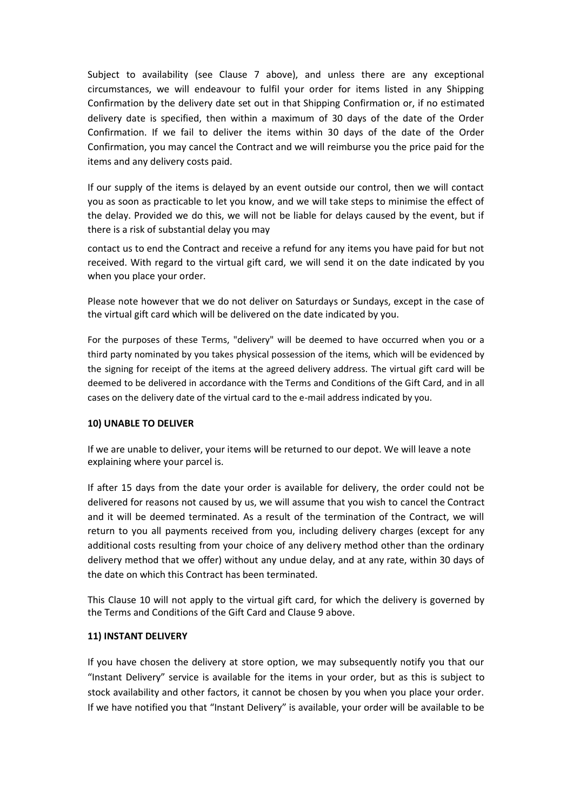Subject to availability (see Clause 7 above), and unless there are any exceptional circumstances, we will endeavour to fulfil your order for items listed in any Shipping Confirmation by the delivery date set out in that Shipping Confirmation or, if no estimated delivery date is specified, then within a maximum of 30 days of the date of the Order Confirmation. If we fail to deliver the items within 30 days of the date of the Order Confirmation, you may cancel the Contract and we will reimburse you the price paid for the items and any delivery costs paid.

If our supply of the items is delayed by an event outside our control, then we will contact you as soon as practicable to let you know, and we will take steps to minimise the effect of the delay. Provided we do this, we will not be liable for delays caused by the event, but if there is a risk of substantial delay you may

contact us to end the Contract and receive a refund for any items you have paid for but not received. With regard to the virtual gift card, we will send it on the date indicated by you when you place your order.

Please note however that we do not deliver on Saturdays or Sundays, except in the case of the virtual gift card which will be delivered on the date indicated by you.

For the purposes of these Terms, "delivery" will be deemed to have occurred when you or a third party nominated by you takes physical possession of the items, which will be evidenced by the signing for receipt of the items at the agreed delivery address. The virtual gift card will be deemed to be delivered in accordance with the Terms and Conditions of the Gift Card, and in all cases on the delivery date of the virtual card to the e-mail address indicated by you.

#### **10) UNABLE TO DELIVER**

If we are unable to deliver, your items will be returned to our depot. We will leave a note explaining where your parcel is.

If after 15 days from the date your order is available for delivery, the order could not be delivered for reasons not caused by us, we will assume that you wish to cancel the Contract and it will be deemed terminated. As a result of the termination of the Contract, we will return to you all payments received from you, including delivery charges (except for any additional costs resulting from your choice of any delivery method other than the ordinary delivery method that we offer) without any undue delay, and at any rate, within 30 days of the date on which this Contract has been terminated.

This Clause 10 will not apply to the virtual gift card, for which the delivery is governed by the Terms and Conditions of the Gift Card and Clause 9 above.

#### **11) INSTANT DELIVERY**

If you have chosen the delivery at store option, we may subsequently notify you that our "Instant Delivery" service is available for the items in your order, but as this is subject to stock availability and other factors, it cannot be chosen by you when you place your order. If we have notified you that "Instant Delivery" is available, your order will be available to be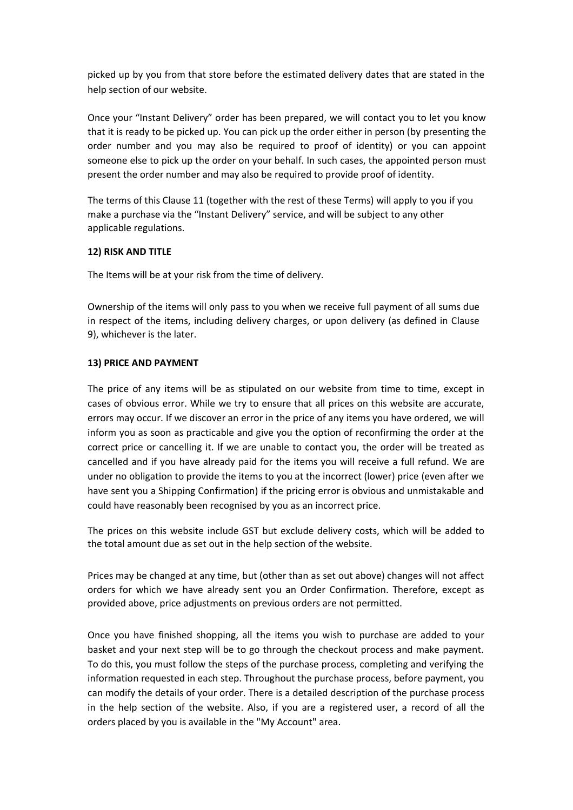picked up by you from that store before the estimated delivery dates that are stated in the help section of our website.

Once your "Instant Delivery" order has been prepared, we will contact you to let you know that it is ready to be picked up. You can pick up the order either in person (by presenting the order number and you may also be required to proof of identity) or you can appoint someone else to pick up the order on your behalf. In such cases, the appointed person must present the order number and may also be required to provide proof of identity.

The terms of this Clause 11 (together with the rest of these Terms) will apply to you if you make a purchase via the "Instant Delivery" service, and will be subject to any other applicable regulations.

# **12) RISK AND TITLE**

The Items will be at your risk from the time of delivery.

Ownership of the items will only pass to you when we receive full payment of all sums due in respect of the items, including delivery charges, or upon delivery (as defined in Clause 9), whichever is the later.

# **13) PRICE AND PAYMENT**

The price of any items will be as stipulated on our website from time to time, except in cases of obvious error. While we try to ensure that all prices on this website are accurate, errors may occur. If we discover an error in the price of any items you have ordered, we will inform you as soon as practicable and give you the option of reconfirming the order at the correct price or cancelling it. If we are unable to contact you, the order will be treated as cancelled and if you have already paid for the items you will receive a full refund. We are under no obligation to provide the items to you at the incorrect (lower) price (even after we have sent you a Shipping Confirmation) if the pricing error is obvious and unmistakable and could have reasonably been recognised by you as an incorrect price.

The prices on this website include GST but exclude delivery costs, which will be added to the total amount due as set out in the help section of the website.

Prices may be changed at any time, but (other than as set out above) changes will not affect orders for which we have already sent you an Order Confirmation. Therefore, except as provided above, price adjustments on previous orders are not permitted.

Once you have finished shopping, all the items you wish to purchase are added to your basket and your next step will be to go through the checkout process and make payment. To do this, you must follow the steps of the purchase process, completing and verifying the information requested in each step. Throughout the purchase process, before payment, you can modify the details of your order. There is a detailed description of the purchase process in the help section of the website. Also, if you are a registered user, a record of all the orders placed by you is available in the "My Account" area.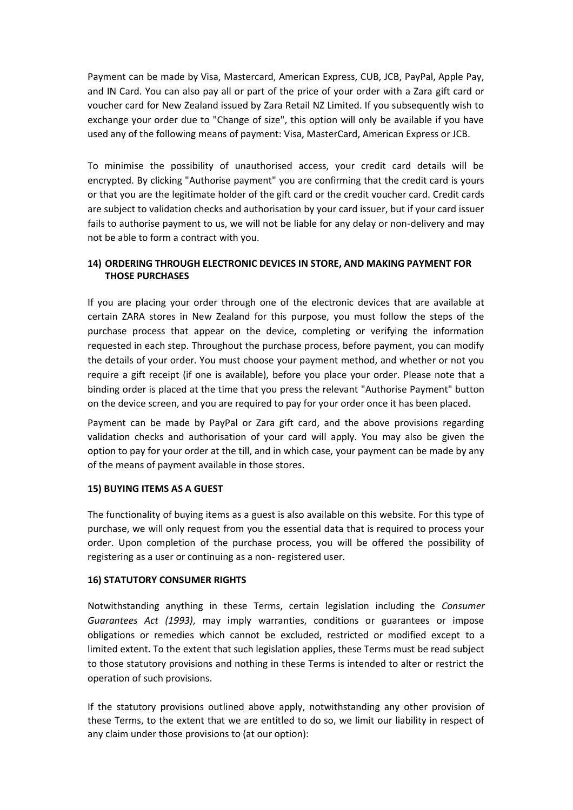Payment can be made by Visa, Mastercard, American Express, CUB, JCB, PayPal, Apple Pay, and IN Card. You can also pay all or part of the price of your order with a Zara gift card or voucher card for New Zealand issued by Zara Retail NZ Limited. If you subsequently wish to exchange your order due to "Change of size", this option will only be available if you have used any of the following means of payment: Visa, MasterCard, American Express or JCB.

To minimise the possibility of unauthorised access, your credit card details will be encrypted. By clicking "Authorise payment" you are confirming that the credit card is yours or that you are the legitimate holder of the gift card or the credit voucher card. Credit cards are subject to validation checks and authorisation by your card issuer, but if your card issuer fails to authorise payment to us, we will not be liable for any delay or non-delivery and may not be able to form a contract with you.

# **14) ORDERING THROUGH ELECTRONIC DEVICES IN STORE, AND MAKING PAYMENT FOR THOSE PURCHASES**

If you are placing your order through one of the electronic devices that are available at certain ZARA stores in New Zealand for this purpose, you must follow the steps of the purchase process that appear on the device, completing or verifying the information requested in each step. Throughout the purchase process, before payment, you can modify the details of your order. You must choose your payment method, and whether or not you require a gift receipt (if one is available), before you place your order. Please note that a binding order is placed at the time that you press the relevant "Authorise Payment" button on the device screen, and you are required to pay for your order once it has been placed.

Payment can be made by PayPal or Zara gift card, and the above provisions regarding validation checks and authorisation of your card will apply. You may also be given the option to pay for your order at the till, and in which case, your payment can be made by any of the means of payment available in those stores.

# **15) BUYING ITEMS AS A GUEST**

The functionality of buying items as a guest is also available on this website. For this type of purchase, we will only request from you the essential data that is required to process your order. Upon completion of the purchase process, you will be offered the possibility of registering as a user or continuing as a non- registered user.

# **16) STATUTORY CONSUMER RIGHTS**

Notwithstanding anything in these Terms, certain legislation including the *Consumer Guarantees Act (1993)*, may imply warranties, conditions or guarantees or impose obligations or remedies which cannot be excluded, restricted or modified except to a limited extent. To the extent that such legislation applies, these Terms must be read subject to those statutory provisions and nothing in these Terms is intended to alter or restrict the operation of such provisions.

If the statutory provisions outlined above apply, notwithstanding any other provision of these Terms, to the extent that we are entitled to do so, we limit our liability in respect of any claim under those provisions to (at our option):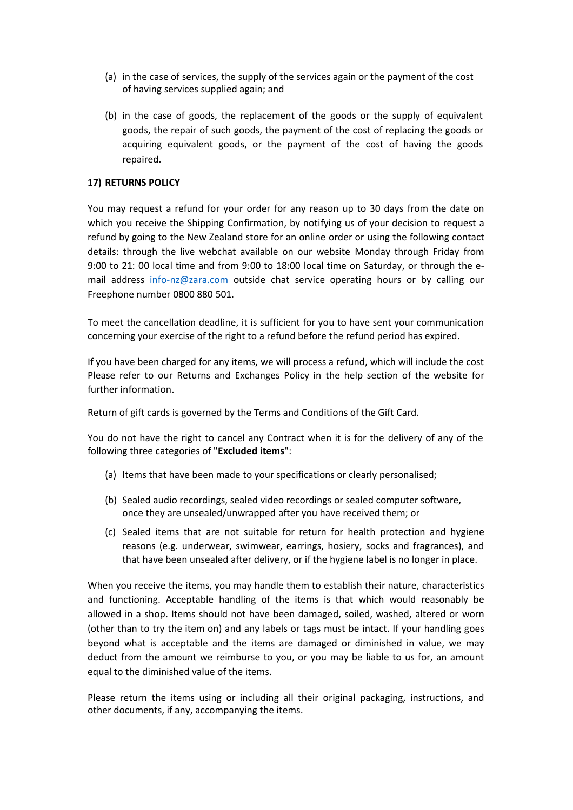- (a) in the case of services, the supply of the services again or the payment of the cost of having services supplied again; and
- (b) in the case of goods, the replacement of the goods or the supply of equivalent goods, the repair of such goods, the payment of the cost of replacing the goods or acquiring equivalent goods, or the payment of the cost of having the goods repaired.

# **17) RETURNS POLICY**

You may request a refund for your order for any reason up to 30 days from the date on which you receive the Shipping Confirmation, by notifying us of your decision to request a refund by going to the New Zealand store for an online order or using the following contact details: through the live webchat available on our website Monday through Friday from 9:00 to 21: 00 local time and from 9:00 to 18:00 local time on Saturday, or through the email address [info-nz@zara.com o](mailto:info-nz@zara.com)utside chat service operating hours or by calling our Freephone number 0800 880 501.

To meet the cancellation deadline, it is sufficient for you to have sent your communication concerning your exercise of the right to a refund before the refund period has expired.

If you have been charged for any items, we will process a refund, which will include the cost Please refer to our Returns and Exchanges Policy in the help section of the website for further information.

Return of gift cards is governed by the Terms and Conditions of the Gift Card.

You do not have the right to cancel any Contract when it is for the delivery of any of the following three categories of "**Excluded items**":

- (a) Items that have been made to your specifications or clearly personalised;
- (b) Sealed audio recordings, sealed video recordings or sealed computer software, once they are unsealed/unwrapped after you have received them; or
- (c) Sealed items that are not suitable for return for health protection and hygiene reasons (e.g. underwear, swimwear, earrings, hosiery, socks and fragrances), and that have been unsealed after delivery, or if the hygiene label is no longer in place.

When you receive the items, you may handle them to establish their nature, characteristics and functioning. Acceptable handling of the items is that which would reasonably be allowed in a shop. Items should not have been damaged, soiled, washed, altered or worn (other than to try the item on) and any labels or tags must be intact. If your handling goes beyond what is acceptable and the items are damaged or diminished in value, we may deduct from the amount we reimburse to you, or you may be liable to us for, an amount equal to the diminished value of the items.

Please return the items using or including all their original packaging, instructions, and other documents, if any, accompanying the items.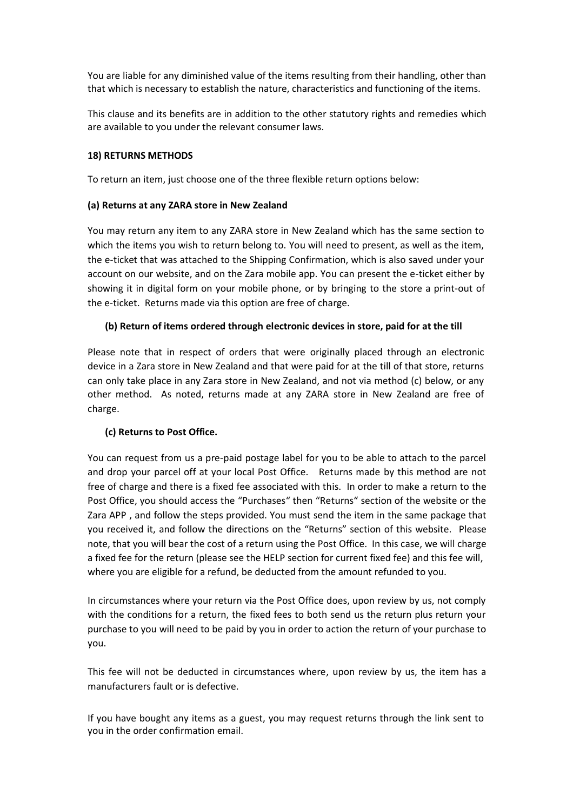You are liable for any diminished value of the items resulting from their handling, other than that which is necessary to establish the nature, characteristics and functioning of the items.

This clause and its benefits are in addition to the other statutory rights and remedies which are available to you under the relevant consumer laws.

# **18) RETURNS METHODS**

To return an item, just choose one of the three flexible return options below:

# **(a) Returns at any ZARA store in New Zealand**

You may return any item to any ZARA store in New Zealand which has the same section to which the items you wish to return belong to. You will need to present, as well as the item, the e-ticket that was attached to the Shipping Confirmation, which is also saved under your account on our website, and on the Zara mobile app. You can present the e-ticket either by showing it in digital form on your mobile phone, or by bringing to the store a print-out of the e-ticket. Returns made via this option are free of charge.

# **(b) Return of items ordered through electronic devices in store, paid for at the till**

Please note that in respect of orders that were originally placed through an electronic device in a Zara store in New Zealand and that were paid for at the till of that store, returns can only take place in any Zara store in New Zealand, and not via method (c) below, or any other method. As noted, returns made at any ZARA store in New Zealand are free of charge.

# **(c) Returns to Post Office.**

You can request from us a pre-paid postage label for you to be able to attach to the parcel and drop your parcel off at your local Post Office. Returns made by this method are not free of charge and there is a fixed fee associated with this. In order to make a return to the Post Office, you should access the "Purchases" then "Returns" section of the website or the Zara APP , and follow the steps provided. You must send the item in the same package that you received it, and follow the directions on the "Returns" section of this website. Please note, that you will bear the cost of a return using the Post Office. In this case, we will charge a fixed fee for the return (please see the HELP section for current fixed fee) and this fee will, where you are eligible for a refund, be deducted from the amount refunded to you.

In circumstances where your return via the Post Office does, upon review by us, not comply with the conditions for a return, the fixed fees to both send us the return plus return your purchase to you will need to be paid by you in order to action the return of your purchase to you.

This fee will not be deducted in circumstances where, upon review by us, the item has a manufacturers fault or is defective.

If you have bought any items as a guest, you may request returns through the link sent to you in the order confirmation email.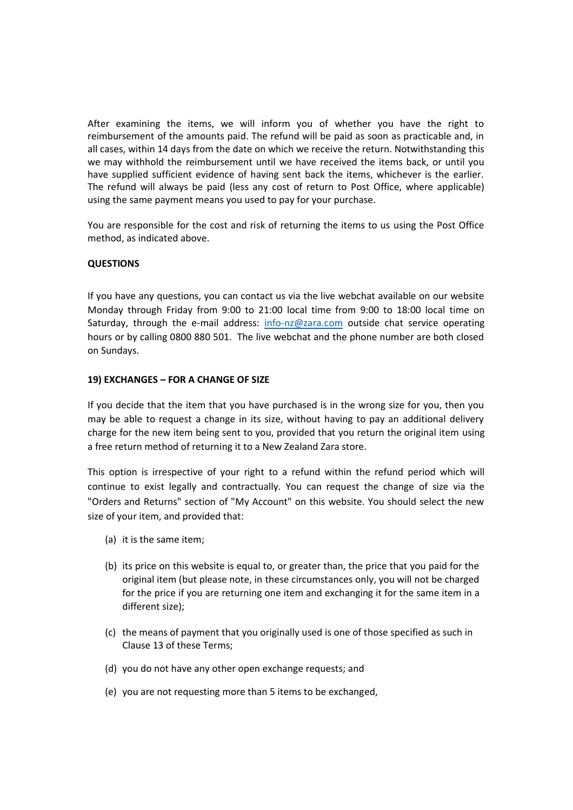After examining the items, we will inform you of whether you have the right to reimbursement of the amounts paid. The refund will be paid as soon as practicable and, in all cases, within 14 days from the date on which we receive the return. Notwithstanding this we may withhold the reimbursement until we have received the items back, or until you have supplied sufficient evidence of having sent back the items, whichever is the earlier. The refund will always be paid (less any cost of return to Post Office, where applicable) using the same payment means you used to pay for your purchase.

You are responsible for the cost and risk of returning the items to us using the Post Office method, as indicated above.

# **QUESTIONS**

If you have any questions, you can contact us via the live webchat available on our website Monday through Friday from 9:00 to 21:00 local time from 9:00 to 18:00 local time on Saturday, through the e-mail address:  $info-nz@zara.com$  outside chat service operating hours or by calling 0800 880 501. The live webchat and the phone number are both closed on Sundays.

#### **19) EXCHANGES – FOR A CHANGE OF SIZE**

If you decide that the item that you have purchased is in the wrong size for you, then you may be able to request a change in its size, without having to pay an additional delivery charge for the new item being sent to you, provided that you return the original item using a free return method of returning it to a New Zealand Zara store.

This option is irrespective of your right to a refund within the refund period which will continue to exist legally and contractually. You can request the change of size via the "Orders and Returns" section of "My Account" on this website. You should select the new size of your item, and provided that:

- (a) it is the same item;
- (b) its price on this website is equal to, or greater than, the price that you paid for the original item (but please note, in these circumstances only, you will not be charged for the price if you are returning one item and exchanging it for the same item in a different size);
- (c) the means of payment that you originally used is one of those specified as such in Clause 13 of these Terms;
- (d) you do not have any other open exchange requests; and
- (e) you are not requesting more than 5 items to be exchanged,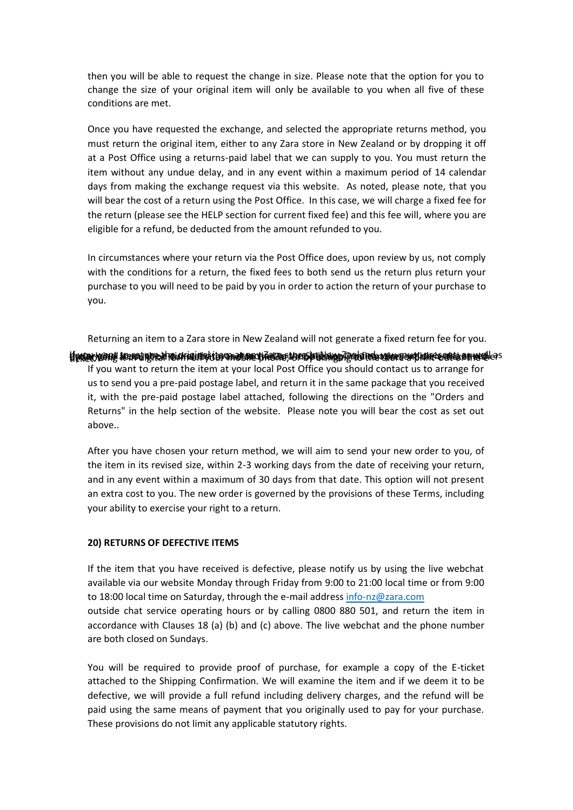then you will be able to request the change in size. Please note that the option for you to change the size of your original item will only be available to you when all five of these conditions are met.

Once you have requested the exchange, and selected the appropriate returns method, you must return the original item, either to any Zara store in New Zealand or by dropping it off at a Post Office using a returns-paid label that we can supply to you. You must return the item without any undue delay, and in any event within a maximum period of 14 calendar days from making the exchange request via this website. As noted, please note, that you will bear the cost of a return using the Post Office. In this case, we will charge a fixed fee for the return (please see the HELP section for current fixed fee) and this fee will, where you are eligible for a refund, be deducted from the amount refunded to you.

In circumstances where your return via the Post Office does, upon review by us, not comply with the conditions for a return, the fixed fees to both send us the return plus return your purchase to you will need to be paid by you in order to action the return of your purchase to you.

Returning an item to a Zara store in New Zealand will not generate a fixed return fee for you.

ttivaarkanni trekojuhe hini ekigingatta arahar hedroctores hindave Zooktina amuntaki take sena se wed as If you want to return the item at your local Post Office you should contact us to arrange for us to send you a pre-paid postage label, and return it in the same package that you received it, with the pre-paid postage label attached, following the directions on the "Orders and Returns" in the help section of the website. Please note you will bear the cost as set out above..

After you have chosen your return method, we will aim to send your new order to you, of the item in its revised size, within 2-3 working days from the date of receiving your return, and in any event within a maximum of 30 days from that date. This option will not present an extra cost to you. The new order is governed by the provisions of these Terms, including your ability to exercise your right to a return.

#### **20) RETURNS OF DEFECTIVE ITEMS**

If the item that you have received is defective, please notify us by using the live webchat available via our website Monday through Friday from 9:00 to 21:00 local time or from 9:00 to 18:00 local time on Saturday, through the e-mail address [info-nz@zara.com](mailto:info-nz@zara.com) outside chat service operating hours or by calling 0800 880 501, and return the item in accordance with Clauses 18 (a) (b) and (c) above. The live webchat and the phone number are both closed on Sundays.

You will be required to provide proof of purchase, for example a copy of the E-ticket attached to the Shipping Confirmation. We will examine the item and if we deem it to be defective, we will provide a full refund including delivery charges, and the refund will be paid using the same means of payment that you originally used to pay for your purchase. These provisions do not limit any applicable statutory rights.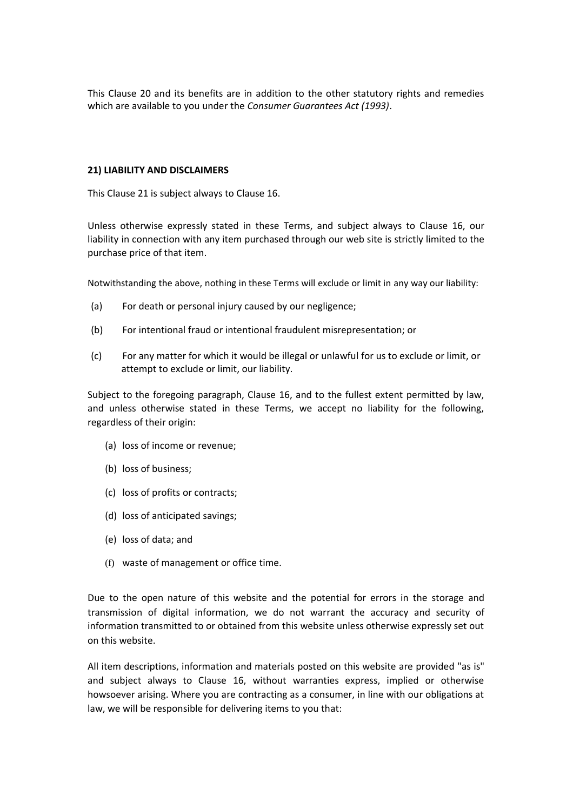This Clause 20 and its benefits are in addition to the other statutory rights and remedies which are available to you under the *Consumer Guarantees Act (1993)*.

### **21) LIABILITY AND DISCLAIMERS**

This Clause 21 is subject always to Clause 16.

Unless otherwise expressly stated in these Terms, and subject always to Clause 16, our liability in connection with any item purchased through our web site is strictly limited to the purchase price of that item.

Notwithstanding the above, nothing in these Terms will exclude or limit in any way our liability:

- (a) For death or personal injury caused by our negligence;
- (b) For intentional fraud or intentional fraudulent misrepresentation; or
- (c) For any matter for which it would be illegal or unlawful for us to exclude or limit, or attempt to exclude or limit, our liability.

Subject to the foregoing paragraph, Clause 16, and to the fullest extent permitted by law, and unless otherwise stated in these Terms, we accept no liability for the following, regardless of their origin:

- (a) loss of income or revenue;
- (b) loss of business;
- (c) loss of profits or contracts;
- (d) loss of anticipated savings;
- (e) loss of data; and
- (f) waste of management or office time.

Due to the open nature of this website and the potential for errors in the storage and transmission of digital information, we do not warrant the accuracy and security of information transmitted to or obtained from this website unless otherwise expressly set out on this website.

All item descriptions, information and materials posted on this website are provided "as is" and subject always to Clause 16, without warranties express, implied or otherwise howsoever arising. Where you are contracting as a consumer, in line with our obligations at law, we will be responsible for delivering items to you that: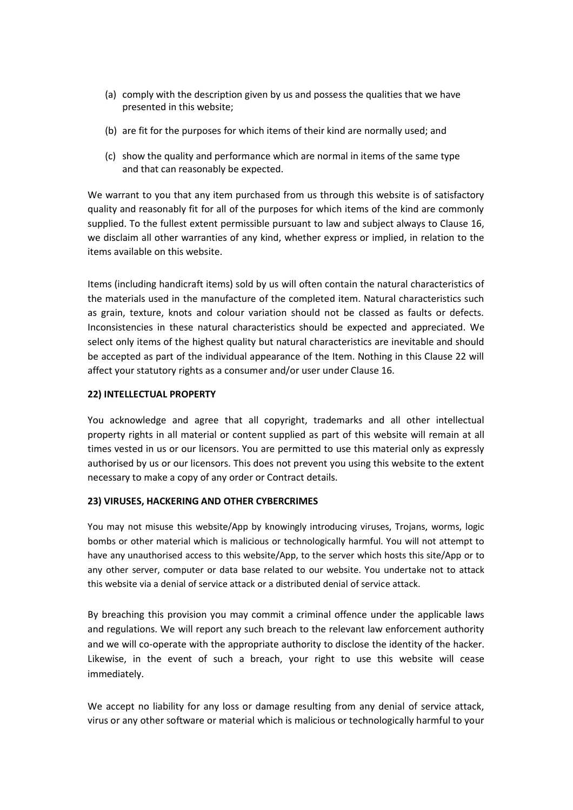- (a) comply with the description given by us and possess the qualities that we have presented in this website;
- (b) are fit for the purposes for which items of their kind are normally used; and
- (c) show the quality and performance which are normal in items of the same type and that can reasonably be expected.

We warrant to you that any item purchased from us through this website is of satisfactory quality and reasonably fit for all of the purposes for which items of the kind are commonly supplied. To the fullest extent permissible pursuant to law and subject always to Clause 16, we disclaim all other warranties of any kind, whether express or implied, in relation to the items available on this website.

Items (including handicraft items) sold by us will often contain the natural characteristics of the materials used in the manufacture of the completed item. Natural characteristics such as grain, texture, knots and colour variation should not be classed as faults or defects. Inconsistencies in these natural characteristics should be expected and appreciated. We select only items of the highest quality but natural characteristics are inevitable and should be accepted as part of the individual appearance of the Item. Nothing in this Clause 22 will affect your statutory rights as a consumer and/or user under Clause 16.

### **22) INTELLECTUAL PROPERTY**

You acknowledge and agree that all copyright, trademarks and all other intellectual property rights in all material or content supplied as part of this website will remain at all times vested in us or our licensors. You are permitted to use this material only as expressly authorised by us or our licensors. This does not prevent you using this website to the extent necessary to make a copy of any order or Contract details.

# **23) VIRUSES, HACKERING AND OTHER CYBERCRIMES**

You may not misuse this website/App by knowingly introducing viruses, Trojans, worms, logic bombs or other material which is malicious or technologically harmful. You will not attempt to have any unauthorised access to this website/App, to the server which hosts this site/App or to any other server, computer or data base related to our website. You undertake not to attack this website via a denial of service attack or a distributed denial of service attack.

By breaching this provision you may commit a criminal offence under the applicable laws and regulations. We will report any such breach to the relevant law enforcement authority and we will co-operate with the appropriate authority to disclose the identity of the hacker. Likewise, in the event of such a breach, your right to use this website will cease immediately.

We accept no liability for any loss or damage resulting from any denial of service attack, virus or any other software or material which is malicious or technologically harmful to your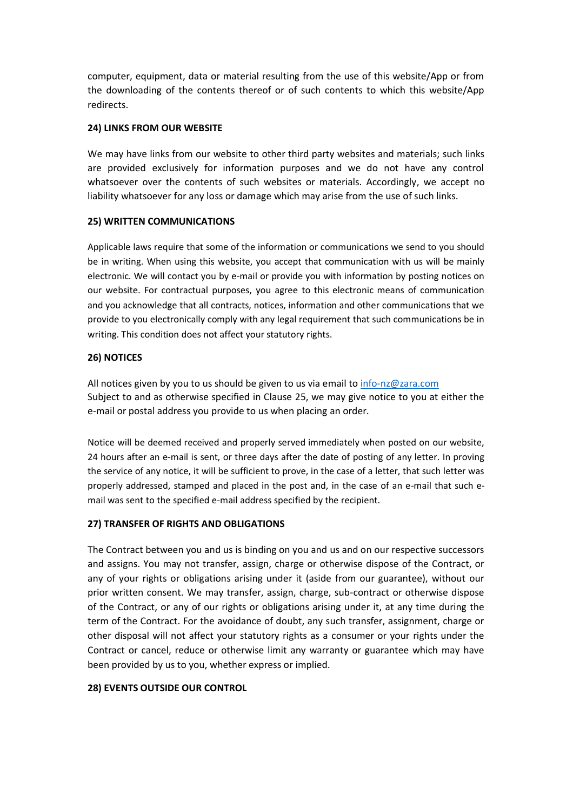computer, equipment, data or material resulting from the use of this website/App or from the downloading of the contents thereof or of such contents to which this website/App redirects.

# **24) LINKS FROM OUR WEBSITE**

We may have links from our website to other third party websites and materials; such links are provided exclusively for information purposes and we do not have any control whatsoever over the contents of such websites or materials. Accordingly, we accept no liability whatsoever for any loss or damage which may arise from the use of such links.

# **25) WRITTEN COMMUNICATIONS**

Applicable laws require that some of the information or communications we send to you should be in writing. When using this website, you accept that communication with us will be mainly electronic. We will contact you by e-mail or provide you with information by posting notices on our website. For contractual purposes, you agree to this electronic means of communication and you acknowledge that all contracts, notices, information and other communications that we provide to you electronically comply with any legal requirement that such communications be in writing. This condition does not affect your statutory rights.

# **26) NOTICES**

All notices given by you to us should be given to us via email to [info-nz@zara.com](mailto:info-nz@zara.com) Subject to and as otherwise specified in Clause 25, we may give notice to you at either the e-mail or postal address you provide to us when placing an order.

Notice will be deemed received and properly served immediately when posted on our website, 24 hours after an e-mail is sent, or three days after the date of posting of any letter. In proving the service of any notice, it will be sufficient to prove, in the case of a letter, that such letter was properly addressed, stamped and placed in the post and, in the case of an e-mail that such email was sent to the specified e-mail address specified by the recipient.

# **27) TRANSFER OF RIGHTS AND OBLIGATIONS**

The Contract between you and us is binding on you and us and on our respective successors and assigns. You may not transfer, assign, charge or otherwise dispose of the Contract, or any of your rights or obligations arising under it (aside from our guarantee), without our prior written consent. We may transfer, assign, charge, sub-contract or otherwise dispose of the Contract, or any of our rights or obligations arising under it, at any time during the term of the Contract. For the avoidance of doubt, any such transfer, assignment, charge or other disposal will not affect your statutory rights as a consumer or your rights under the Contract or cancel, reduce or otherwise limit any warranty or guarantee which may have been provided by us to you, whether express or implied.

# **28) EVENTS OUTSIDE OUR CONTROL**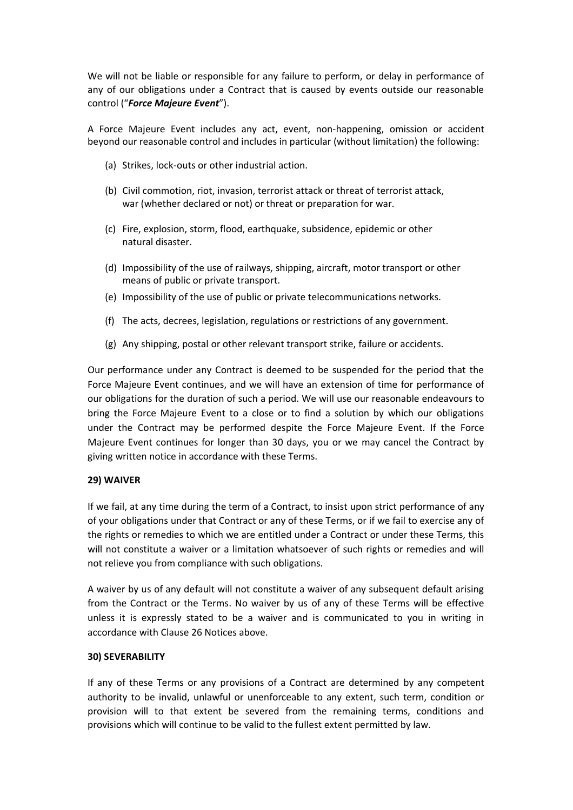We will not be liable or responsible for any failure to perform, or delay in performance of any of our obligations under a Contract that is caused by events outside our reasonable control ("*Force Majeure Event*").

A Force Majeure Event includes any act, event, non-happening, omission or accident beyond our reasonable control and includes in particular (without limitation) the following:

- (a) Strikes, lock-outs or other industrial action.
- (b) Civil commotion, riot, invasion, terrorist attack or threat of terrorist attack, war (whether declared or not) or threat or preparation for war.
- (c) Fire, explosion, storm, flood, earthquake, subsidence, epidemic or other natural disaster.
- (d) Impossibility of the use of railways, shipping, aircraft, motor transport or other means of public or private transport.
- (e) Impossibility of the use of public or private telecommunications networks.
- (f) The acts, decrees, legislation, regulations or restrictions of any government.
- (g) Any shipping, postal or other relevant transport strike, failure or accidents.

Our performance under any Contract is deemed to be suspended for the period that the Force Majeure Event continues, and we will have an extension of time for performance of our obligations for the duration of such a period. We will use our reasonable endeavours to bring the Force Majeure Event to a close or to find a solution by which our obligations under the Contract may be performed despite the Force Majeure Event. If the Force Majeure Event continues for longer than 30 days, you or we may cancel the Contract by giving written notice in accordance with these Terms.

# **29) WAIVER**

If we fail, at any time during the term of a Contract, to insist upon strict performance of any of your obligations under that Contract or any of these Terms, or if we fail to exercise any of the rights or remedies to which we are entitled under a Contract or under these Terms, this will not constitute a waiver or a limitation whatsoever of such rights or remedies and will not relieve you from compliance with such obligations.

A waiver by us of any default will not constitute a waiver of any subsequent default arising from the Contract or the Terms. No waiver by us of any of these Terms will be effective unless it is expressly stated to be a waiver and is communicated to you in writing in accordance with Clause 26 Notices above.

# **30) SEVERABILITY**

If any of these Terms or any provisions of a Contract are determined by any competent authority to be invalid, unlawful or unenforceable to any extent, such term, condition or provision will to that extent be severed from the remaining terms, conditions and provisions which will continue to be valid to the fullest extent permitted by law.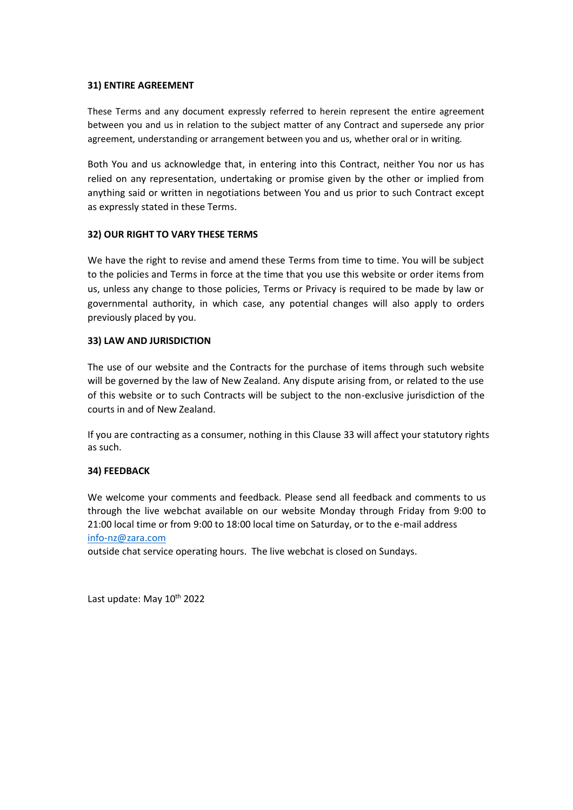### **31) ENTIRE AGREEMENT**

These Terms and any document expressly referred to herein represent the entire agreement between you and us in relation to the subject matter of any Contract and supersede any prior agreement, understanding or arrangement between you and us, whether oral or in writing.

Both You and us acknowledge that, in entering into this Contract, neither You nor us has relied on any representation, undertaking or promise given by the other or implied from anything said or written in negotiations between You and us prior to such Contract except as expressly stated in these Terms.

# **32) OUR RIGHT TO VARY THESE TERMS**

We have the right to revise and amend these Terms from time to time. You will be subject to the policies and Terms in force at the time that you use this website or order items from us, unless any change to those policies, Terms or Privacy is required to be made by law or governmental authority, in which case, any potential changes will also apply to orders previously placed by you.

# **33) LAW AND JURISDICTION**

The use of our website and the Contracts for the purchase of items through such website will be governed by the law of New Zealand. Any dispute arising from, or related to the use of this website or to such Contracts will be subject to the non-exclusive jurisdiction of the courts in and of New Zealand.

If you are contracting as a consumer, nothing in this Clause 33 will affect your statutory rights as such.

# **34) FEEDBACK**

We welcome your comments and feedback. Please send all feedback and comments to us through the live webchat available on our website Monday through Friday from 9:00 to 21:00 local time or from 9:00 to 18:00 local time on Saturday, or to the e-mail address [info-nz@zara.com](mailto:info-nz@zara.com)

outside chat service operating hours. The live webchat is closed on Sundays.

Last update: May 10<sup>th</sup> 2022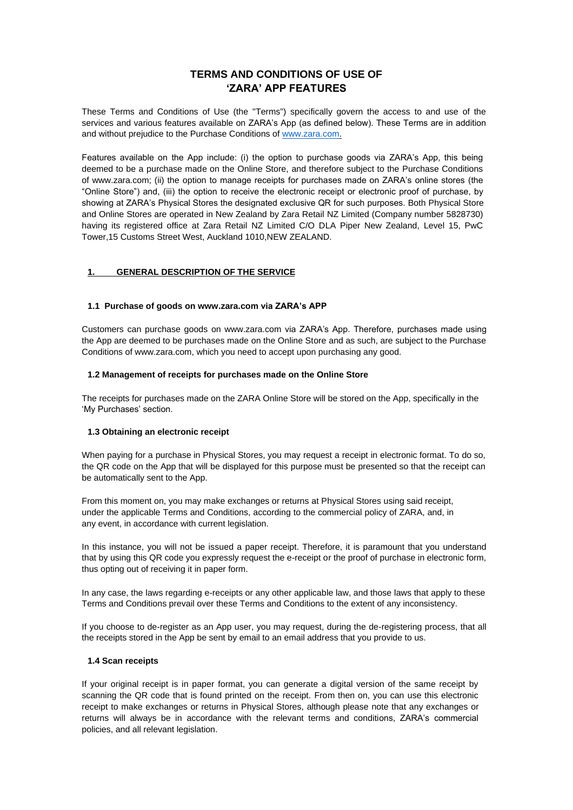# **TERMS AND CONDITIONS OF USE OF 'ZARA' APP FEATURES**

These Terms and Conditions of Use (the "Terms") specifically govern the access to and use of the services and various features available on ZARA's App (as defined below). These Terms are in addition and without prejudice to the Purchase Conditions of [www.zara.com.](http://www.zara.com/)

Features available on the App include: (i) the option to purchase goods via ZARA's App, this being deemed to be a purchase made on the Online Store, and therefore subject to the Purchase Conditions of www.zara.com; (ii) the option to manage receipts for purchases made on ZARA's online stores (the "Online Store") and, (iii) the option to receive the electronic receipt or electronic proof of purchase, by showing at ZARA's Physical Stores the designated exclusive QR for such purposes. Both Physical Store and Online Stores are operated in New Zealand by Zara Retail NZ Limited (Company number 5828730) having its registered office at Zara Retail NZ Limited C/O DLA Piper New Zealand, Level 15, PwC Tower,15 Customs Street West, Auckland 1010,NEW ZEALAND.

#### **1. GENERAL DESCRIPTION OF THE SERVICE**

#### **1.1 Purchase of goods o[n www.zara.com v](http://www.zara.com/)ia ZARA's APP**

Customers can purchase goods on [www.zara.com v](http://www.zara.com/)ia ZARA's App. Therefore, purchases made using the App are deemed to be purchases made on the Online Store and as such, are subject to the Purchase Conditions of [www.zara.com, w](http://www.zara.com/)hich you need to accept upon purchasing any good.

#### **1.2 Management of receipts for purchases made on the Online Store**

The receipts for purchases made on the ZARA Online Store will be stored on the App, specifically in the 'My Purchases' section.

#### **1.3 Obtaining an electronic receipt**

When paying for a purchase in Physical Stores, you may request a receipt in electronic format. To do so, the QR code on the App that will be displayed for this purpose must be presented so that the receipt can be automatically sent to the App.

From this moment on, you may make exchanges or returns at Physical Stores using said receipt, under the applicable Terms and Conditions, according to the commercial policy of ZARA, and, in any event, in accordance with current legislation.

In this instance, you will not be issued a paper receipt. Therefore, it is paramount that you understand that by using this QR code you expressly request the e-receipt or the proof of purchase in electronic form, thus opting out of receiving it in paper form.

In any case, the laws regarding e-receipts or any other applicable law, and those laws that apply to these Terms and Conditions prevail over these Terms and Conditions to the extent of any inconsistency.

If you choose to de-register as an App user, you may request, during the de-registering process, that all the receipts stored in the App be sent by email to an email address that you provide to us.

#### **1.4 Scan receipts**

If your original receipt is in paper format, you can generate a digital version of the same receipt by scanning the QR code that is found printed on the receipt. From then on, you can use this electronic receipt to make exchanges or returns in Physical Stores, although please note that any exchanges or returns will always be in accordance with the relevant terms and conditions, ZARA's commercial policies, and all relevant legislation.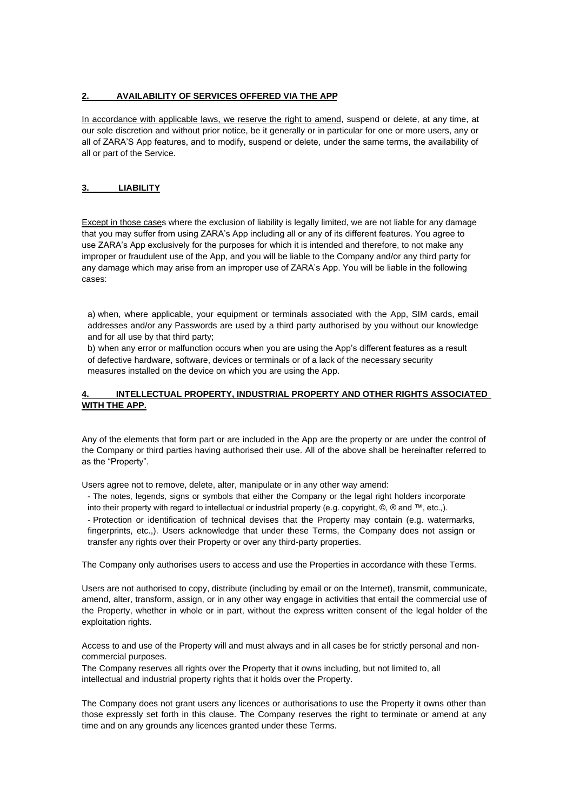### **2. AVAILABILITY OF SERVICES OFFERED VIA THE APP**

In accordance with applicable laws, we reserve the right to amend, suspend or delete, at any time, at our sole discretion and without prior notice, be it generally or in particular for one or more users, any or all of ZARA'S App features, and to modify, suspend or delete, under the same terms, the availability of all or part of the Service.

### **3. LIABILITY**

Except in those cases where the exclusion of liability is legally limited, we are not liable for any damage that you may suffer from using ZARA's App including all or any of its different features. You agree to use ZARA's App exclusively for the purposes for which it is intended and therefore, to not make any improper or fraudulent use of the App, and you will be liable to the Company and/or any third party for any damage which may arise from an improper use of ZARA's App. You will be liable in the following cases:

a) when, where applicable, your equipment or terminals associated with the App, SIM cards, email addresses and/or any Passwords are used by a third party authorised by you without our knowledge and for all use by that third party;

b) when any error or malfunction occurs when you are using the App's different features as a result of defective hardware, software, devices or terminals or of a lack of the necessary security measures installed on the device on which you are using the App.

### **4. INTELLECTUAL PROPERTY, INDUSTRIAL PROPERTY AND OTHER RIGHTS ASSOCIATED WITH THE APP.**

Any of the elements that form part or are included in the App are the property or are under the control of the Company or third parties having authorised their use. All of the above shall be hereinafter referred to as the "Property".

Users agree not to remove, delete, alter, manipulate or in any other way amend:

- The notes, legends, signs or symbols that either the Company or the legal right holders incorporate into their property with regard to intellectual or industrial property (e.g. copyright, ©, ® and ™, etc.,).

- Protection or identification of technical devises that the Property may contain (e.g. watermarks, fingerprints, etc.,). Users acknowledge that under these Terms, the Company does not assign or transfer any rights over their Property or over any third-party properties.

The Company only authorises users to access and use the Properties in accordance with these Terms.

Users are not authorised to copy, distribute (including by email or on the Internet), transmit, communicate, amend, alter, transform, assign, or in any other way engage in activities that entail the commercial use of the Property, whether in whole or in part, without the express written consent of the legal holder of the exploitation rights.

Access to and use of the Property will and must always and in all cases be for strictly personal and noncommercial purposes.

The Company reserves all rights over the Property that it owns including, but not limited to, all intellectual and industrial property rights that it holds over the Property.

The Company does not grant users any licences or authorisations to use the Property it owns other than those expressly set forth in this clause. The Company reserves the right to terminate or amend at any time and on any grounds any licences granted under these Terms.